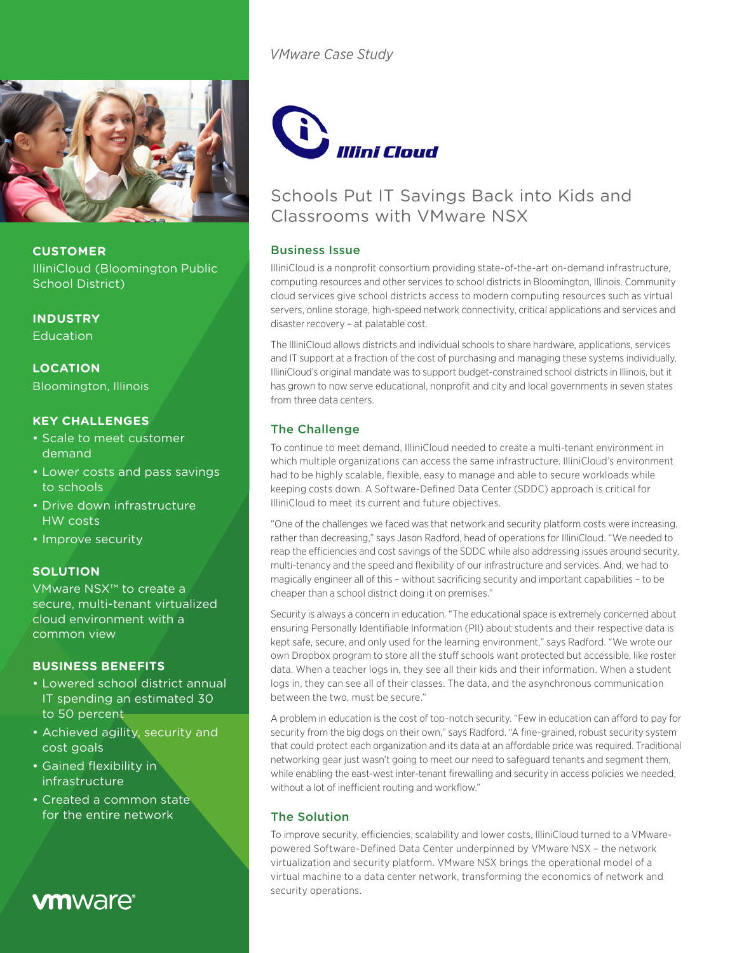

**CUSTOMER** IlliniCloud (Bloomington Public

School District)

**INDUSTRY** Education

**LOCATION** Bloomington, Illinois

#### **KEY CHALLENGES**

- Scale to meet customer demand
- Lower costs and pass savings to schools
- Drive down infrastructure HW costs
- Improve security

#### **SOLUTION**

VMware NSX™ to create a secure, multi-tenant virtualized cloud environment with a common view

#### **BUSINESS BENEFITS**

- Lowered school district annual IT spending an estimated 30 to 50 percent
- Achieved agility, security and cost goals
- Gained flexibility in **infrastructure**
- Created a common state for the entire network

# **vm**ware<sup>®</sup>

*VMware Case Study*



### Schools Put IT Savings Back into Kids and Classrooms with VMware NSX

#### Business Issue

IlliniCloud is a nonprofit consortium providing state-of-the-art on-demand infrastructure, computing resources and other services to school districts in Bloomington, Illinois. Community cloud services give school districts access to modern computing resources such as virtual servers, online storage, high-speed network connectivity, critical applications and services and disaster recovery – at palatable cost.

The IlliniCloud allows districts and individual schools to share hardware, applications, services and IT support at a fraction of the cost of purchasing and managing these systems individually. IlliniCloud's original mandate was to support budget-constrained school districts in Illinois, but it has grown to now serve educational, nonprofit and city and local governments in seven states from three data centers.

#### The Challenge

To continue to meet demand, IlliniCloud needed to create a multi-tenant environment in which multiple organizations can access the same infrastructure. IlliniCloud's environment had to be highly scalable, flexible, easy to manage and able to secure workloads while keeping costs down. A Software-Defined Data Center (SDDC) approach is critical for IlliniCloud to meet its current and future objectives.

"One of the challenges we faced was that network and security platform costs were increasing, rather than decreasing," says Jason Radford, head of operations for IlliniCloud. "We needed to reap the efficiencies and cost savings of the SDDC while also addressing issues around security, multi-tenancy and the speed and flexibility of our infrastructure and services. And, we had to magically engineer all of this – without sacrificing security and important capabilities – to be cheaper than a school district doing it on premises."

Security is always a concern in education. "The educational space is extremely concerned about ensuring Personally Identifiable Information (PII) about students and their respective data is kept safe, secure, and only used for the learning environment," says Radford. "We wrote our own Dropbox program to store all the stuff schools want protected but accessible, like roster data. When a teacher logs in, they see all their kids and their information. When a student logs in, they can see all of their classes. The data, and the asynchronous communication between the two, must be secure."

A problem in education is the cost of top-notch security. "Few in education can afford to pay for security from the big dogs on their own," says Radford. "A fine-grained, robust security system that could protect each organization and its data at an affordable price was required. Traditional networking gear just wasn't going to meet our need to safeguard tenants and segment them, while enabling the east-west inter-tenant firewalling and security in access policies we needed, without a lot of inefficient routing and workflow."

#### The Solution

To improve security, efficiencies, scalability and lower costs, IlliniCloud turned to a VMwarepowered Software-Defined Data Center underpinned by VMware NSX – the network virtualization and security platform. VMware NSX brings the operational model of a virtual machine to a data center network, transforming the economics of network and security operations.